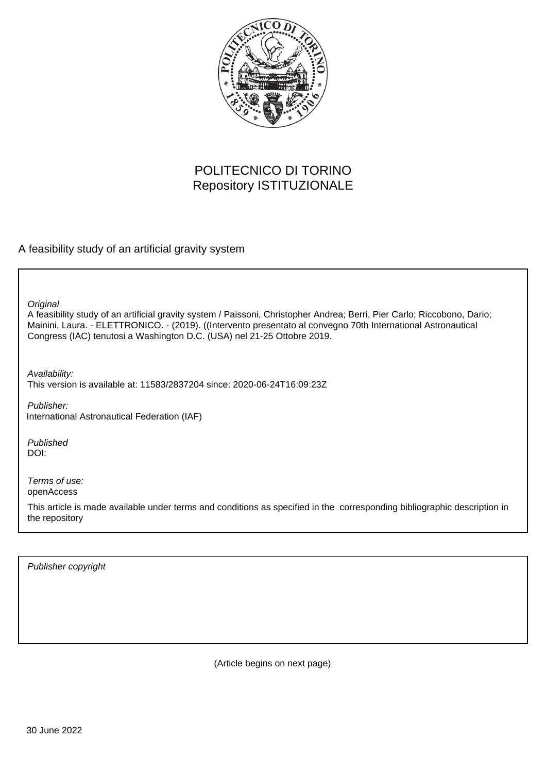

# POLITECNICO DI TORINO Repository ISTITUZIONALE

A feasibility study of an artificial gravity system

**Original** 

A feasibility study of an artificial gravity system / Paissoni, Christopher Andrea; Berri, Pier Carlo; Riccobono, Dario; Mainini, Laura. - ELETTRONICO. - (2019). ((Intervento presentato al convegno 70th International Astronautical Congress (IAC) tenutosi a Washington D.C. (USA) nel 21-25 Ottobre 2019.

Availability: This version is available at: 11583/2837204 since: 2020-06-24T16:09:23Z

Publisher: International Astronautical Federation (IAF)

Published DOI:

Terms of use: openAccess

This article is made available under terms and conditions as specified in the corresponding bibliographic description in the repository

Publisher copyright

(Article begins on next page)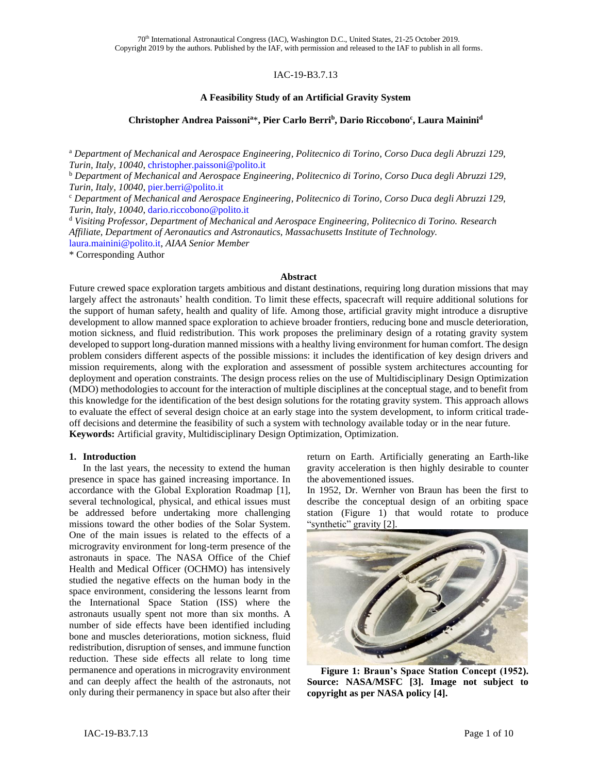## IAC-19-B3.7.13

## **A Feasibility Study of an Artificial Gravity System**

## **Christopher Andrea Paissoni<sup>a</sup>**\***, Pier Carlo Berri<sup>b</sup> , Dario Riccobono<sup>c</sup> , Laura Mainini<sup>d</sup>**

<sup>a</sup> *Department of Mechanical and Aerospace Engineering, Politecnico di Torino, Corso Duca degli Abruzzi 129, Turin, Italy, 10040*[, christopher.paissoni@polito.it](mailto:christopher.paissoni@polito.it)

<sup>b</sup> *Department of Mechanical and Aerospace Engineering, Politecnico di Torino, Corso Duca degli Abruzzi 129, Turin, Italy, 10040*[, pier.berri@polito.it](mailto:pier.berri@polito.it)

<sup>c</sup> *Department of Mechanical and Aerospace Engineering, Politecnico di Torino, Corso Duca degli Abruzzi 129, Turin, Italy, 10040*[, dario.riccobono@polito.it](mailto:dario.riccobono@polito.it)

<sup>d</sup> *Visiting Professor, Department of Mechanical and Aerospace Engineering, Politecnico di Torino. Research Affiliate, Department of Aeronautics and Astronautics, Massachusetts Institute of Technology.*  [laura.mainini@polito.it,](mailto:laura.mainini@polito.it) *AIAA Senior Member*

\* Corresponding Author

#### **Abstract**

Future crewed space exploration targets ambitious and distant destinations, requiring long duration missions that may largely affect the astronauts' health condition. To limit these effects, spacecraft will require additional solutions for the support of human safety, health and quality of life. Among those, artificial gravity might introduce a disruptive development to allow manned space exploration to achieve broader frontiers, reducing bone and muscle deterioration, motion sickness, and fluid redistribution. This work proposes the preliminary design of a rotating gravity system developed to support long-duration manned missions with a healthy living environment for human comfort. The design problem considers different aspects of the possible missions: it includes the identification of key design drivers and mission requirements, along with the exploration and assessment of possible system architectures accounting for deployment and operation constraints. The design process relies on the use of Multidisciplinary Design Optimization (MDO) methodologies to account for the interaction of multiple disciplines at the conceptual stage, and to benefit from this knowledge for the identification of the best design solutions for the rotating gravity system. This approach allows to evaluate the effect of several design choice at an early stage into the system development, to inform critical tradeoff decisions and determine the feasibility of such a system with technology available today or in the near future. **Keywords:** Artificial gravity, Multidisciplinary Design Optimization, Optimization.

#### **1. Introduction**

In the last years, the necessity to extend the human presence in space has gained increasing importance. In accordance with the Global Exploration Roadmap [1], several technological, physical, and ethical issues must be addressed before undertaking more challenging missions toward the other bodies of the Solar System. One of the main issues is related to the effects of a microgravity environment for long-term presence of the astronauts in space. The NASA Office of the Chief Health and Medical Officer (OCHMO) has intensively studied the negative effects on the human body in the space environment, considering the lessons learnt from the International Space Station (ISS) where the astronauts usually spent not more than six months. A number of side effects have been identified including bone and muscles deteriorations, motion sickness, fluid redistribution, disruption of senses, and immune function reduction. These side effects all relate to long time permanence and operations in microgravity environment and can deeply affect the health of the astronauts, not only during their permanency in space but also after their

return on Earth. Artificially generating an Earth-like gravity acceleration is then highly desirable to counter the abovementioned issues.

In 1952, Dr. Wernher von Braun has been the first to describe the conceptual design of an orbiting space station (Figure 1) that would rotate to produce "synthetic" gravity [2].



**Figure 1: Braun's Space Station Concept (1952). Source: NASA/MSFC [3]. Image not subject to copyright as per NASA policy [4].**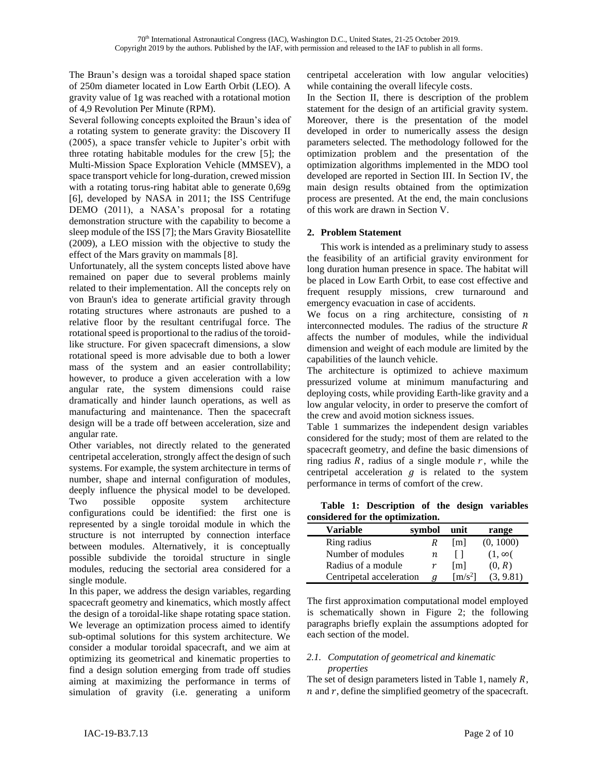The Braun's design was a toroidal shaped space station of 250m diameter located in Low Earth Orbit (LEO). A gravity value of 1g was reached with a rotational motion of 4,9 Revolution Per Minute (RPM).

Several following concepts exploited the Braun's idea of a rotating system to generate gravity: the Discovery II (2005), a space transfer vehicle to Jupiter's orbit with three rotating habitable modules for the crew [5]; the Multi-Mission Space Exploration Vehicle (MMSEV), a space transport vehicle for long-duration, crewed mission with a rotating torus-ring habitat able to generate 0,69g [6], developed by NASA in 2011; the ISS Centrifuge DEMO (2011), a NASA's proposal for a rotating demonstration structure with the capability to become a sleep module of the ISS [7]; the Mars Gravity Biosatellite (2009), a LEO mission with the objective to study the effect of the Mars gravity on mammals [8].

Unfortunately, all the system concepts listed above have remained on paper due to several problems mainly related to their implementation. All the concepts rely on von Braun's idea to generate artificial gravity through rotating structures where astronauts are pushed to a relative floor by the resultant centrifugal force. The rotational speed is proportional to the radius of the toroidlike structure. For given spacecraft dimensions, a slow rotational speed is more advisable due to both a lower mass of the system and an easier controllability; however, to produce a given acceleration with a low angular rate, the system dimensions could raise dramatically and hinder launch operations, as well as manufacturing and maintenance. Then the spacecraft design will be a trade off between acceleration, size and angular rate.

Other variables, not directly related to the generated centripetal acceleration, strongly affect the design of such systems. For example, the system architecture in terms of number, shape and internal configuration of modules, deeply influence the physical model to be developed. Two possible opposite system architecture configurations could be identified: the first one is represented by a single toroidal module in which the structure is not interrupted by connection interface between modules. Alternatively, it is conceptually possible subdivide the toroidal structure in single modules, reducing the sectorial area considered for a single module.

In this paper, we address the design variables, regarding spacecraft geometry and kinematics, which mostly affect the design of a toroidal-like shape rotating space station. We leverage an optimization process aimed to identify sub-optimal solutions for this system architecture. We consider a modular toroidal spacecraft, and we aim at optimizing its geometrical and kinematic properties to find a design solution emerging from trade off studies aiming at maximizing the performance in terms of simulation of gravity (i.e. generating a uniform

centripetal acceleration with low angular velocities) while containing the overall lifecyle costs.

In the Section II, there is description of the problem statement for the design of an artificial gravity system. Moreover, there is the presentation of the model developed in order to numerically assess the design parameters selected. The methodology followed for the optimization problem and the presentation of the optimization algorithms implemented in the MDO tool developed are reported in Section III. In Section IV, the main design results obtained from the optimization process are presented. At the end, the main conclusions of this work are drawn in Section V.

# **2. Problem Statement**

This work is intended as a preliminary study to assess the feasibility of an artificial gravity environment for long duration human presence in space. The habitat will be placed in Low Earth Orbit, to ease cost effective and frequent resupply missions, crew turnaround and emergency evacuation in case of accidents.

We focus on a ring architecture, consisting of  $n$ interconnected modules. The radius of the structure  $R$ affects the number of modules, while the individual dimension and weight of each module are limited by the capabilities of the launch vehicle.

The architecture is optimized to achieve maximum pressurized volume at minimum manufacturing and deploying costs, while providing Earth-like gravity and a low angular velocity, in order to preserve the comfort of the crew and avoid motion sickness issues.

Table 1 summarizes the independent design variables considered for the study; most of them are related to the spacecraft geometry, and define the basic dimensions of ring radius  $R$ , radius of a single module  $r$ , while the centripetal acceleration  $g$  is related to the system performance in terms of comfort of the crew.

**Table 1: Description of the design variables considered for the optimization.**

| Variable                 | symbol | unit                        | range         |
|--------------------------|--------|-----------------------------|---------------|
| Ring radius              | к      | [m]                         | (0, 1000)     |
| Number of modules        | n      |                             | $(1, \infty)$ |
| Radius of a module       | r      | [m]                         | (0, R)        |
| Centripetal acceleration |        | $\left[\text{m/s}^2\right]$ | (3, 9.81)     |

The first approximation computational model employed is schematically shown in Figure 2; the following paragraphs briefly explain the assumptions adopted for each section of the model.

## *2.1. Computation of geometrical and kinematic properties*

The set of design parameters listed in Table 1, namely  $R$ ,  $n$  and  $r$ , define the simplified geometry of the spacecraft.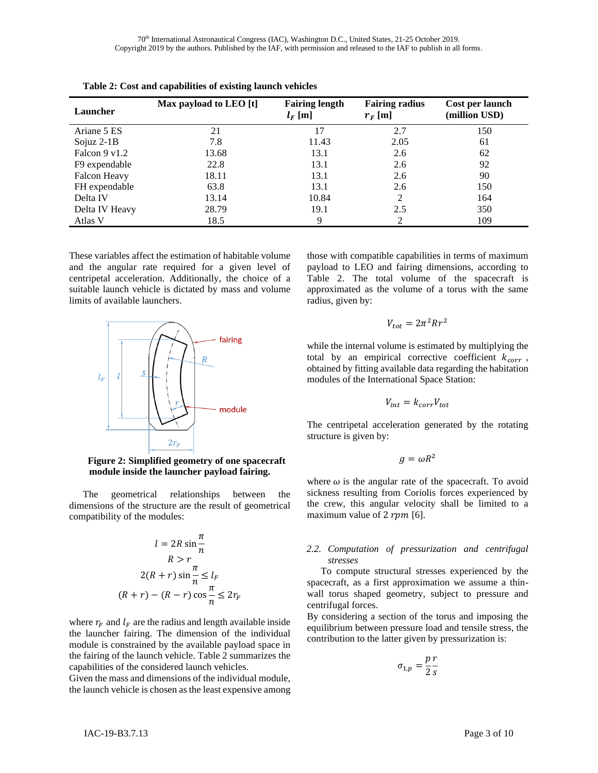70th International Astronautical Congress (IAC), Washington D.C., United States, 21-25 October 2019. Copyright 2019 by the authors. Published by the IAF, with permission and released to the IAF to publish in all forms.

| Launcher                | Max payload to LEO [t] | <b>Fairing length</b><br>$l_F$ [m] | <b>Fairing radius</b><br>$r_F$ [m] | Cost per launch<br>(million USD) |
|-------------------------|------------------------|------------------------------------|------------------------------------|----------------------------------|
| Ariane 5 ES             | 21                     | 17                                 | 2.7                                | 150                              |
| Sojuz $2-1B$            | 7.8                    | 11.43                              | 2.05                               | 61                               |
| Falcon $9 \text{ v}1.2$ | 13.68                  | 13.1                               | 2.6                                | 62                               |
| F9 expendable           | 22.8                   | 13.1                               | 2.6                                | 92                               |
| Falcon Heavy            | 18.11                  | 13.1                               | 2.6                                | 90                               |
| FH expendable           | 63.8                   | 13.1                               | 2.6                                | 150                              |
| Delta IV                | 13.14                  | 10.84                              | 2                                  | 164                              |
| Delta IV Heavy          | 28.79                  | 19.1                               | 2.5                                | 350                              |
| Atlas V                 | 18.5                   | 9                                  |                                    | 109                              |

**Table 2: Cost and capabilities of existing launch vehicles**

These variables affect the estimation of habitable volume and the angular rate required for a given level of centripetal acceleration. Additionally, the choice of a suitable launch vehicle is dictated by mass and volume limits of available launchers.



**Figure 2: Simplified geometry of one spacecraft module inside the launcher payload fairing.**

The geometrical relationships between the dimensions of the structure are the result of geometrical compatibility of the modules:

$$
l = 2R \sin \frac{\pi}{n}
$$
  
\n
$$
R > r
$$
  
\n
$$
2(R + r) \sin \frac{\pi}{n} \le l_F
$$
  
\n
$$
(R + r) - (R - r) \cos \frac{\pi}{n} \le 2r_F
$$

where  $r_F$  and  $l_F$  are the radius and length available inside the launcher fairing. The dimension of the individual module is constrained by the available payload space in the fairing of the launch vehicle. Table 2 summarizes the capabilities of the considered launch vehicles.

Given the mass and dimensions of the individual module, the launch vehicle is chosen as the least expensive among those with compatible capabilities in terms of maximum payload to LEO and fairing dimensions, according to Table 2. The total volume of the spacecraft is approximated as the volume of a torus with the same radius, given by:

$$
V_{tot}=2\pi^2 R r^2
$$

while the internal volume is estimated by multiplying the total by an empirical corrective coefficient  $k_{corr}$ , obtained by fitting available data regarding the habitation modules of the International Space Station:

$$
V_{int} = k_{corr} V_{tot}
$$

The centripetal acceleration generated by the rotating structure is given by:

$$
g = \omega R^2
$$

where  $\omega$  is the angular rate of the spacecraft. To avoid sickness resulting from Coriolis forces experienced by the crew, this angular velocity shall be limited to a maximum value of 2  $rpm$  [6].

## *2.2. Computation of pressurization and centrifugal stresses*

To compute structural stresses experienced by the spacecraft, as a first approximation we assume a thinwall torus shaped geometry, subject to pressure and centrifugal forces.

By considering a section of the torus and imposing the equilibrium between pressure load and tensile stress, the contribution to the latter given by pressurization is:

$$
\sigma_{1,p} = \frac{p \, r}{2 \, s}
$$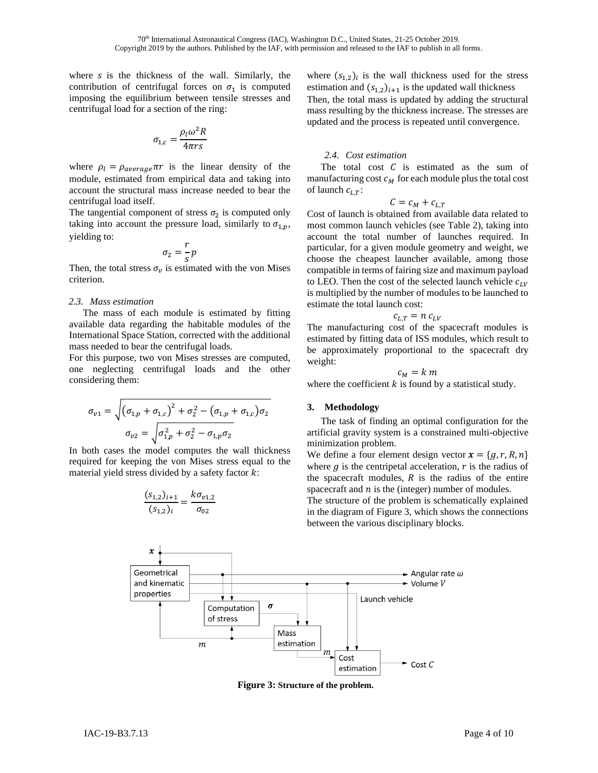where  $s$  is the thickness of the wall. Similarly, the contribution of centrifugal forces on  $\sigma_1$  is computed imposing the equilibrium between tensile stresses and centrifugal load for a section of the ring:

$$
\sigma_{1,c} = \frac{\rho_l \omega^2 R}{4 \pi r s}
$$

where  $\rho_l = \rho_{average} \pi r$  is the linear density of the module, estimated from empirical data and taking into account the structural mass increase needed to bear the centrifugal load itself.

The tangential component of stress  $\sigma_2$  is computed only taking into account the pressure load, similarly to  $\sigma_{1,p}$ , yielding to:

$$
\sigma_2 = \frac{r}{s}p
$$

Then, the total stress  $\sigma_v$  is estimated with the von Mises criterion.

#### *2.3. Mass estimation*

The mass of each module is estimated by fitting available data regarding the habitable modules of the International Space Station, corrected with the additional mass needed to bear the centrifugal loads.

For this purpose, two von Mises stresses are computed, one neglecting centrifugal loads and the other considering them:

$$
\sigma_{v1} = \sqrt{(\sigma_{1,p} + \sigma_{1,c})^2 + \sigma_2^2 - (\sigma_{1,p} + \sigma_{1,c})\sigma_2}
$$

$$
\sigma_{v2} = \sqrt{\sigma_{1,p}^2 + \sigma_2^2 - \sigma_{1,p}\sigma_2}
$$

In both cases the model computes the wall thickness required for keeping the von Mises stress equal to the material yield stress divided by a safety factor  $k$ :

$$
\frac{(s_{1,2})_{i+1}}{(s_{1,2})_i} = \frac{k\sigma_{v1,2}}{\sigma_{02}}
$$

where  $(s_{1,2})_i$  is the wall thickness used for the stress estimation and  $(s_{1,2})_{i+1}$  is the updated wall thickness Then, the total mass is updated by adding the structural mass resulting by the thickness increase. The stresses are updated and the process is repeated until convergence.

## *2.4. Cost estimation*

The total cost  $C$  is estimated as the sum of manufacturing cost  $c_M$  for each module plus the total cost of launch  $c_{LT}$ :

$$
C = c_M + c_{L,T}
$$

Cost of launch is obtained from available data related to most common launch vehicles (see Table 2), taking into account the total number of launches required. In particular, for a given module geometry and weight, we choose the cheapest launcher available, among those compatible in terms of fairing size and maximum payload to LEO. Then the cost of the selected launch vehicle  $c_{LV}$ is multiplied by the number of modules to be launched to estimate the total launch cost:

$$
c_{L,T} = n c_{LV}
$$

The manufacturing cost of the spacecraft modules is estimated by fitting data of ISS modules, which result to be approximately proportional to the spacecraft dry weight:

$$
c_M = k\;m
$$

where the coefficient  $k$  is found by a statistical study.

#### **3. Methodology**

The task of finding an optimal configuration for the artificial gravity system is a constrained multi-objective minimization problem.

We define a four element design vector  $\mathbf{x} = \{g, r, R, n\}$ where  $g$  is the centripetal acceleration,  $r$  is the radius of the spacecraft modules,  $R$  is the radius of the entire spacecraft and  $n$  is the (integer) number of modules.

The structure of the problem is schematically explained in the diagram of Figure 3, which shows the connections between the various disciplinary blocks.



**Figure 3: Structure of the problem.**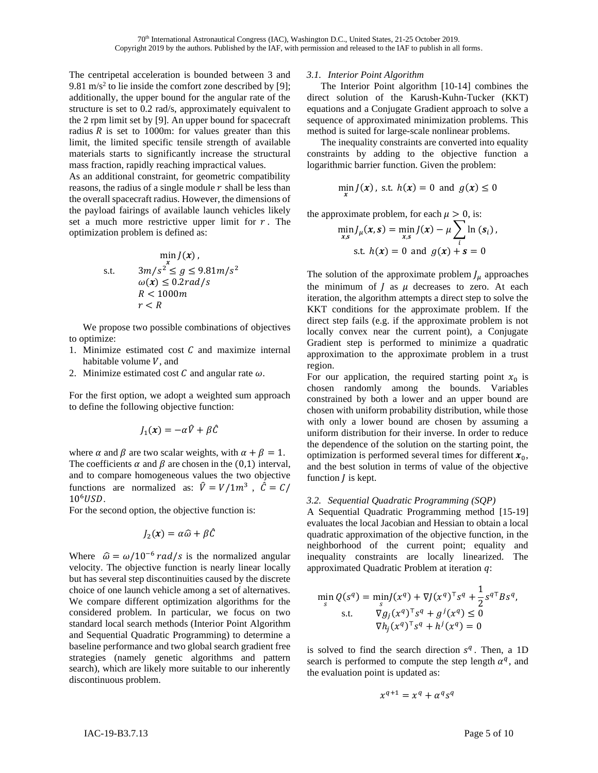The centripetal acceleration is bounded between 3 and 9.81 m/s<sup>2</sup> to lie inside the comfort zone described by [9]; additionally, the upper bound for the angular rate of the structure is set to 0.2 rad/s, approximately equivalent to the 2 rpm limit set by [9]. An upper bound for spacecraft radius  $R$  is set to 1000m: for values greater than this limit, the limited specific tensile strength of available materials starts to significantly increase the structural mass fraction, rapidly reaching impractical values.

As an additional constraint, for geometric compatibility reasons, the radius of a single module  $r$  shall be less than the overall spacecraft radius. However, the dimensions of the payload fairings of available launch vehicles likely set a much more restrictive upper limit for  $r$ . The optimization problem is defined as:

$$
\min_{x} J(x),
$$
  
s.t. 
$$
3m/s^2 \le g \le 9.81m/s^2
$$

$$
\omega(x) \le 0.2rad/s
$$

$$
R < 1000m
$$

$$
r < R
$$

We propose two possible combinations of objectives to optimize:

- 1. Minimize estimated cost  $C$  and maximize internal habitable volume  $V$ , and
- 2. Minimize estimated cost  $C$  and angular rate  $\omega$ .

For the first option, we adopt a weighted sum approach to define the following objective function:

$$
J_1(x) = -\alpha \hat{V} + \beta \hat{C}
$$

where  $\alpha$  and  $\beta$  are two scalar weights, with  $\alpha + \beta = 1$ . The coefficients  $\alpha$  and  $\beta$  are chosen in the (0,1) interval, and to compare homogeneous values the two objective functions are normalized as:  $\hat{V} = V/1m^3$ ,  $\hat{C} = C/1$  $10<sup>6</sup>USD.$ 

For the second option, the objective function is:

$$
J_2(\pmb{x}) = \alpha \widehat{\omega} + \beta \widehat{C}
$$

Where  $\hat{\omega} = \omega / 10^{-6}$  rad/s is the normalized angular velocity. The objective function is nearly linear locally but has several step discontinuities caused by the discrete choice of one launch vehicle among a set of alternatives. We compare different optimization algorithms for the considered problem. In particular, we focus on two standard local search methods (Interior Point Algorithm and Sequential Quadratic Programming) to determine a baseline performance and two global search gradient free strategies (namely genetic algorithms and pattern search), which are likely more suitable to our inherently discontinuous problem.

#### *3.1. Interior Point Algorithm*

The Interior Point algorithm [10-14] combines the direct solution of the Karush-Kuhn-Tucker (KKT) equations and a Conjugate Gradient approach to solve a sequence of approximated minimization problems. This method is suited for large-scale nonlinear problems.

The inequality constraints are converted into equality constraints by adding to the objective function a logarithmic barrier function. Given the problem:

$$
\min_{x} J(x), \text{ s.t. } h(x) = 0 \text{ and } g(x) \le 0
$$

the approximate problem, for each  $\mu > 0$ , is:

$$
\min_{x,s} J_{\mu}(x,s) = \min_{x,s} J(x) - \mu \sum_{i} \ln (s_{i}),
$$
  
s.t.  $h(x) = 0$  and  $g(x) + s = 0$ 

The solution of the approximate problem  $J_{\mu}$  approaches the minimum of  $J$  as  $\mu$  decreases to zero. At each iteration, the algorithm attempts a direct step to solve the KKT conditions for the approximate problem. If the direct step fails (e.g. if the approximate problem is not locally convex near the current point), a Conjugate Gradient step is performed to minimize a quadratic approximation to the approximate problem in a trust region.

For our application, the required starting point  $x_0$  is chosen randomly among the bounds. Variables constrained by both a lower and an upper bound are chosen with uniform probability distribution, while those with only a lower bound are chosen by assuming a uniform distribution for their inverse. In order to reduce the dependence of the solution on the starting point, the optimization is performed several times for different  $x_0$ , and the best solution in terms of value of the objective function  *is kept.* 

## *3.2. Sequential Quadratic Programming (SQP)*

A Sequential Quadratic Programming method [15-19] evaluates the local Jacobian and Hessian to obtain a local quadratic approximation of the objective function, in the neighborhood of the current point; equality and inequality constraints are locally linearized. The approximated Quadratic Problem at iteration  $q$ :

$$
\min_{s} Q(s^{q}) = \min_{s} J(x^{q}) + \nabla J(x^{q})^{\top} s^{q} + \frac{1}{2} s^{q \top} B s^{q},
$$
  
s.t. 
$$
\nabla g_{j}(x^{q})^{\top} s^{q} + g^{j}(x^{q}) \leq 0
$$

$$
\nabla h_{j}(x^{q})^{\top} s^{q} + h^{j}(x^{q}) = 0
$$

is solved to find the search direction  $s^q$ . Then, a 1D search is performed to compute the step length  $\alpha^q$ , and the evaluation point is updated as:

$$
x^{q+1} = x^q + \alpha^q s^q
$$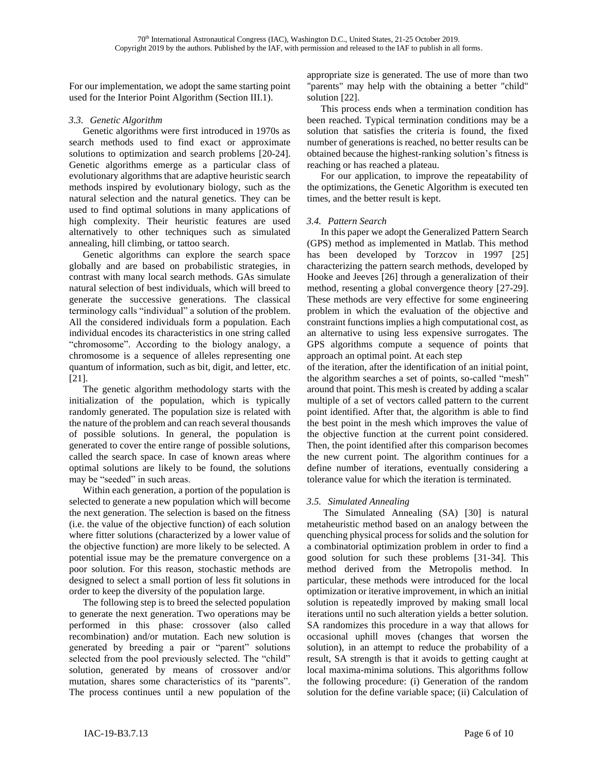For our implementation, we adopt the same starting point used for the Interior Point Algorithm (Section III.1).

## *3.3. Genetic Algorithm*

Genetic algorithms were first introduced in 1970s as search methods used to find exact or approximate solutions to optimization and search problems [20-24]. Genetic algorithms emerge as a particular class of evolutionary algorithms that are adaptive heuristic search methods inspired by evolutionary biology, such as the natural selection and the natural genetics. They can be used to find optimal solutions in many applications of high complexity. Their heuristic features are used alternatively to other techniques such as simulated annealing, hill climbing, or tattoo search.

Genetic algorithms can explore the search space globally and are based on probabilistic strategies, in contrast with many local search methods. GAs simulate natural selection of best individuals, which will breed to generate the successive generations. The classical terminology calls "individual" a solution of the problem. All the considered individuals form a population. Each individual encodes its characteristics in one string called "chromosome". According to the biology analogy, a chromosome is a sequence of alleles representing one quantum of information, such as bit, digit, and letter, etc. [21].

The genetic algorithm methodology starts with the initialization of the population, which is typically randomly generated. The population size is related with the nature of the problem and can reach several thousands of possible solutions. In general, the population is generated to cover the entire range of possible solutions, called the search space. In case of known areas where optimal solutions are likely to be found, the solutions may be "seeded" in such areas.

Within each generation, a portion of the population is selected to generate a new population which will become the next generation. The selection is based on the fitness (i.e. the value of the objective function) of each solution where fitter solutions (characterized by a lower value of the objective function) are more likely to be selected. A potential issue may be the premature convergence on a poor solution. For this reason, stochastic methods are designed to select a small portion of less fit solutions in order to keep the diversity of the population large.

The following step is to breed the selected population to generate the next generation. Two operations may be performed in this phase: crossover (also called recombination) and/or mutation. Each new solution is generated by breeding a pair or "parent" solutions selected from the pool previously selected. The "child" solution, generated by means of crossover and/or mutation, shares some characteristics of its "parents". The process continues until a new population of the

appropriate size is generated. The use of more than two "parents" may help with the obtaining a better "child" solution [22].

This process ends when a termination condition has been reached. Typical termination conditions may be a solution that satisfies the criteria is found, the fixed number of generations is reached, no better results can be obtained because the highest-ranking solution's fitness is reaching or has reached a plateau.

For our application, to improve the repeatability of the optimizations, the Genetic Algorithm is executed ten times, and the better result is kept.

## *3.4. Pattern Search*

In this paper we adopt the Generalized Pattern Search (GPS) method as implemented in Matlab. This method has been developed by Torzcov in 1997 [25] characterizing the pattern search methods, developed by Hooke and Jeeves [26] through a generalization of their method, resenting a global convergence theory [27-29]. These methods are very effective for some engineering problem in which the evaluation of the objective and constraint functions implies a high computational cost, as an alternative to using less expensive surrogates. The GPS algorithms compute a sequence of points that approach an optimal point. At each step

of the iteration, after the identification of an initial point, the algorithm searches a set of points, so-called "mesh" around that point. This mesh is created by adding a scalar multiple of a set of vectors called pattern to the current point identified. After that, the algorithm is able to find the best point in the mesh which improves the value of the objective function at the current point considered. Then, the point identified after this comparison becomes the new current point. The algorithm continues for a define number of iterations, eventually considering a tolerance value for which the iteration is terminated.

## *3.5. Simulated Annealing*

The Simulated Annealing (SA) [30] is natural metaheuristic method based on an analogy between the quenching physical process for solids and the solution for a combinatorial optimization problem in order to find a good solution for such these problems [31-34]. This method derived from the Metropolis method. In particular, these methods were introduced for the local optimization or iterative improvement, in which an initial solution is repeatedly improved by making small local iterations until no such alteration yields a better solution. SA randomizes this procedure in a way that allows for occasional uphill moves (changes that worsen the solution), in an attempt to reduce the probability of a result, SA strength is that it avoids to getting caught at local maxima-minima solutions. This algorithms follow the following procedure: (i) Generation of the random solution for the define variable space; (ii) Calculation of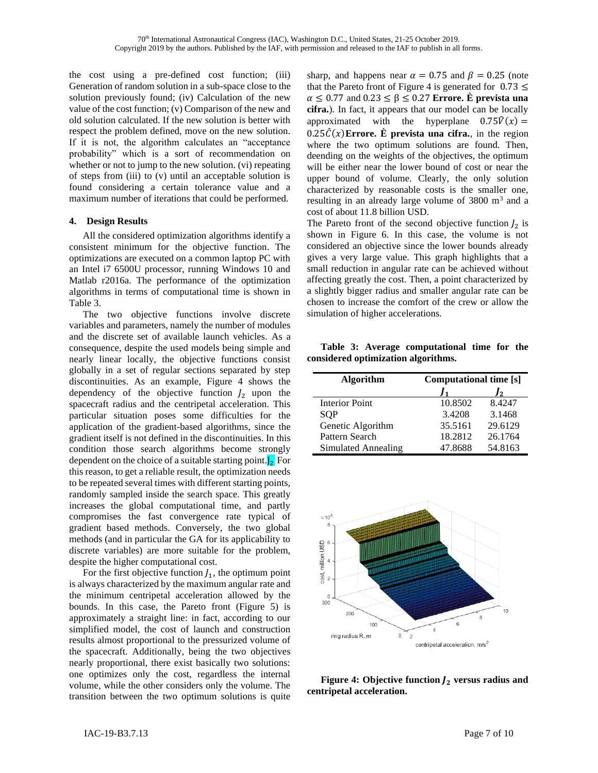the cost using a pre-defined cost function; (iii) Generation of random solution in a sub-space close to the solution previously found; (iv) Calculation of the new value of the cost function; (v) Comparison of the new and old solution calculated. If the new solution is better with respect the problem defined, move on the new solution. If it is not, the algorithm calculates an "acceptance probability" which is a sort of recommendation on whether or not to jump to the new solution. (vi) repeating of steps from (iii) to (v) until an acceptable solution is found considering a certain tolerance value and a maximum number of iterations that could be performed.

## **4. Design Results**

All the considered optimization algorithms identify a consistent minimum for the objective function. The optimizations are executed on a common laptop PC with an Intel i7 6500U processor, running Windows 10 and Matlab r2016a. The performance of the optimization algorithms in terms of computational time is shown in Table 3.

The two objective functions involve discrete variables and parameters, namely the number of modules and the discrete set of available launch vehicles. As a consequence, despite the used models being simple and nearly linear locally, the objective functions consist globally in a set of regular sections separated by step discontinuities. As an example, Figure 4 shows the dependency of the objective function  $J_2$  upon the spacecraft radius and the centripetal acceleration. This particular situation poses some difficulties for the application of the gradient-based algorithms, since the gradient itself is not defined in the discontinuities. In this condition those search algorithms become strongly dependent on the choice of a suitable starting point. $J_2$  For this reason, to get a reliable result, the optimization needs to be repeated several times with different starting points, randomly sampled inside the search space. This greatly increases the global computational time, and partly compromises the fast convergence rate typical of gradient based methods. Conversely, the two global methods (and in particular the GA for its applicability to discrete variables) are more suitable for the problem, despite the higher computational cost.

For the first objective function  $J_1$ , the optimum point is always characterized by the maximum angular rate and the minimum centripetal acceleration allowed by the bounds. In this case, the Pareto front (Figure 5) is approximately a straight line: in fact, according to our simplified model, the cost of launch and construction results almost proportional to the pressurized volume of the spacecraft. Additionally, being the two objectives nearly proportional, there exist basically two solutions: one optimizes only the cost, regardless the internal volume, while the other considers only the volume. The transition between the two optimum solutions is quite

sharp, and happens near  $\alpha = 0.75$  and  $\beta = 0.25$  (note that the Pareto front of Figure 4 is generated for  $0.73 \le$  $\alpha \leq 0.77$  and  $0.23 \leq \beta \leq 0.27$  **Errore. È prevista una cifra.**). In fact, it appears that our model can be locally approximated with the hyperplane  $0.75\hat{V}(x) =$  $0.25\hat{C}(x)$ **Errore. È** prevista una cifra., in the region where the two optimum solutions are found. Then, deending on the weights of the objectives, the optimum will be either near the lower bound of cost or near the upper bound of volume. Clearly, the only solution characterized by reasonable costs is the smaller one, resulting in an already large volume of 3800 m<sup>3</sup> and a cost of about 11.8 billion USD.

The Pareto front of the second objective function  $J_2$  is shown in Figure 6. In this case, the volume is not considered an objective since the lower bounds already gives a very large value. This graph highlights that a small reduction in angular rate can be achieved without affecting greatly the cost. Then, a point characterized by a slightly bigger radius and smaller angular rate can be chosen to increase the comfort of the crew or allow the simulation of higher accelerations.

**Table 3: Average computational time for the considered optimization algorithms.**

| <b>Algorithm</b>      | <b>Computational time [s]</b> |               |  |
|-----------------------|-------------------------------|---------------|--|
|                       |                               | $\mathcal{P}$ |  |
| <b>Interior Point</b> | 10.8502                       | 8.4247        |  |
| SOP                   | 3.4208                        | 3.1468        |  |
| Genetic Algorithm     | 35.5161                       | 29.6129       |  |
| Pattern Search        | 18.2812                       | 26.1764       |  |
| Simulated Annealing   | 47.8688                       | 54.8163       |  |



**Figure 4: Objective function**  $J_2$  **versus radius and centripetal acceleration.**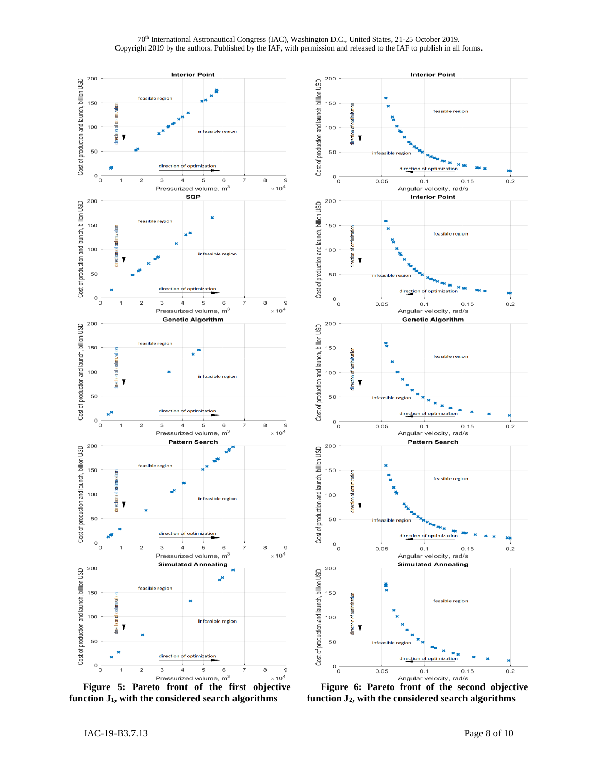#### 70th International Astronautical Congress (IAC), Washington D.C., United States, 21-25 October 2019. Copyright 2019 by the authors. Published by the IAF, with permission and released to the IAF to publish in all forms.



**function J1, with the considered search algorithms**



**Figure 6: Pareto front of the second objective function J2, with the considered search algorithms**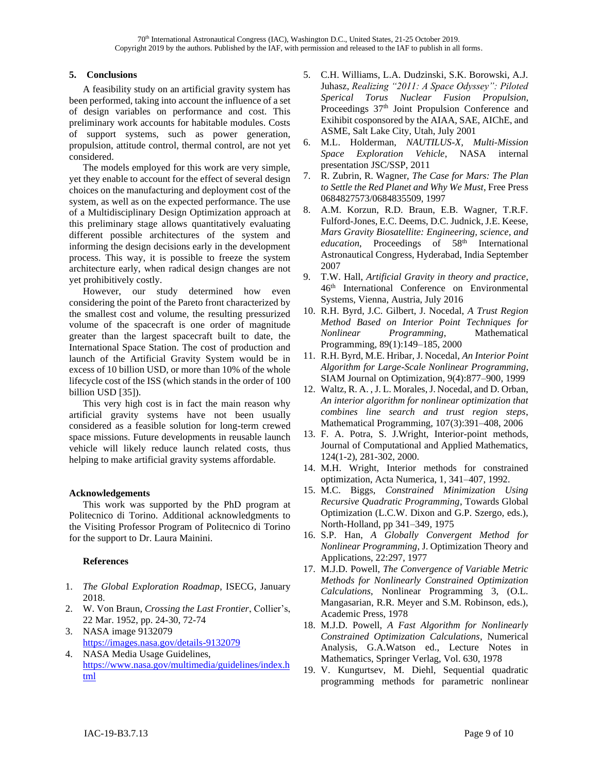## **5. Conclusions**

A feasibility study on an artificial gravity system has been performed, taking into account the influence of a set of design variables on performance and cost. This preliminary work accounts for habitable modules. Costs of support systems, such as power generation, propulsion, attitude control, thermal control, are not yet considered.

The models employed for this work are very simple, yet they enable to account for the effect of several design choices on the manufacturing and deployment cost of the system, as well as on the expected performance. The use of a Multidisciplinary Design Optimization approach at this preliminary stage allows quantitatively evaluating different possible architectures of the system and informing the design decisions early in the development process. This way, it is possible to freeze the system architecture early, when radical design changes are not yet prohibitively costly.

However, our study determined how even considering the point of the Pareto front characterized by the smallest cost and volume, the resulting pressurized volume of the spacecraft is one order of magnitude greater than the largest spacecraft built to date, the International Space Station. The cost of production and launch of the Artificial Gravity System would be in excess of 10 billion USD, or more than 10% of the whole lifecycle cost of the ISS (which stands in the order of 100 billion USD [35]).

This very high cost is in fact the main reason why artificial gravity systems have not been usually considered as a feasible solution for long-term crewed space missions. Future developments in reusable launch vehicle will likely reduce launch related costs, thus helping to make artificial gravity systems affordable.

## **Acknowledgements**

This work was supported by the PhD program at Politecnico di Torino. Additional acknowledgments to the Visiting Professor Program of Politecnico di Torino for the support to Dr. Laura Mainini.

## **References**

- 1. *The Global Exploration Roadmap*, ISECG, January 2018.
- 2. W. Von Braun, *Crossing the Last Frontier*, Collier's, 22 Mar. 1952, pp. 24-30, 72-74
- 3. NASA image 9132079 <https://images.nasa.gov/details-9132079>
- 4. NASA Media Usage Guidelines, [https://www.nasa.gov/multimedia/guidelines/index.h](https://www.nasa.gov/multimedia/guidelines/index.html) [tml](https://www.nasa.gov/multimedia/guidelines/index.html)
- 5. C.H. Williams, L.A. Dudzinski, S.K. Borowski, A.J. Juhasz, *Realizing "2011: A Space Odyssey": Piloted Sperical Torus Nuclear Fusion Propulsion*, Proceedings 37<sup>th</sup> Joint Propulsion Conference and Exihibit cosponsored by the AIAA, SAE, AIChE, and ASME, Salt Lake City, Utah, July 2001
- 6. M.L. Holderman, *NAUTILUS-X, Multi-Mission Space Exploration Vehicle*, NASA internal presentation JSC/SSP, 2011
- 7. R. Zubrin, R. Wagner, *The Case for Mars: The Plan to Settle the Red Planet and Why We Must*, Free Press 0684827573/0684835509, 1997
- 8. A.M. Korzun, R.D. Braun, E.B. Wagner, T.R.F. Fulford-Jones, E.C. Deems, D.C. Judnick, J.E. Keese, *Mars Gravity Biosatellite: Engineering, science, and*  education, Proceedings of 58<sup>th</sup> International Astronautical Congress, Hyderabad, India September 2007
- 9. T.W. Hall, *Artificial Gravity in theory and practice*, 46th International Conference on Environmental Systems, Vienna, Austria, July 2016
- 10. R.H. Byrd, J.C. Gilbert, J. Nocedal, *A Trust Region Method Based on Interior Point Techniques for Nonlinear Programming*, Mathematical Programming, 89(1):149–185, 2000
- 11. R.H. Byrd, M.E. Hribar, J. Nocedal, *An Interior Point Algorithm for Large-Scale Nonlinear Programming*, SIAM Journal on Optimization, 9(4):877–900, 1999
- 12. Waltz, R. A. , J. L. Morales, J. Nocedal, and D. Orban, *An interior algorithm for nonlinear optimization that combines line search and trust region steps*, Mathematical Programming, 107(3):391–408, 2006
- 13. F. A. Potra, S. J.Wright, Interior-point methods, Journal of Computational and Applied Mathematics, 124(1-2), 281-302, 2000.
- 14. M.H. Wright, Interior methods for constrained optimization, Acta Numerica, 1, 341–407, 1992.
- 15. M.C. Biggs, *Constrained Minimization Using Recursive Quadratic Programming*, Towards Global Optimization (L.C.W. Dixon and G.P. Szergo, eds.), North-Holland, pp 341–349, 1975
- 16. S.P. Han, *A Globally Convergent Method for Nonlinear Programming*, J. Optimization Theory and Applications, 22:297, 1977
- 17. M.J.D. Powell, *The Convergence of Variable Metric Methods for Nonlinearly Constrained Optimization Calculations*, Nonlinear Programming 3, (O.L. Mangasarian, R.R. Meyer and S.M. Robinson, eds.), Academic Press, 1978
- 18. M.J.D. Powell, *A Fast Algorithm for Nonlinearly Constrained Optimization Calculations*, Numerical Analysis, G.A.Watson ed., Lecture Notes in Mathematics, Springer Verlag, Vol. 630, 1978
- 19. V. Kungurtsev, M. Diehl, Sequential quadratic programming methods for parametric nonlinear